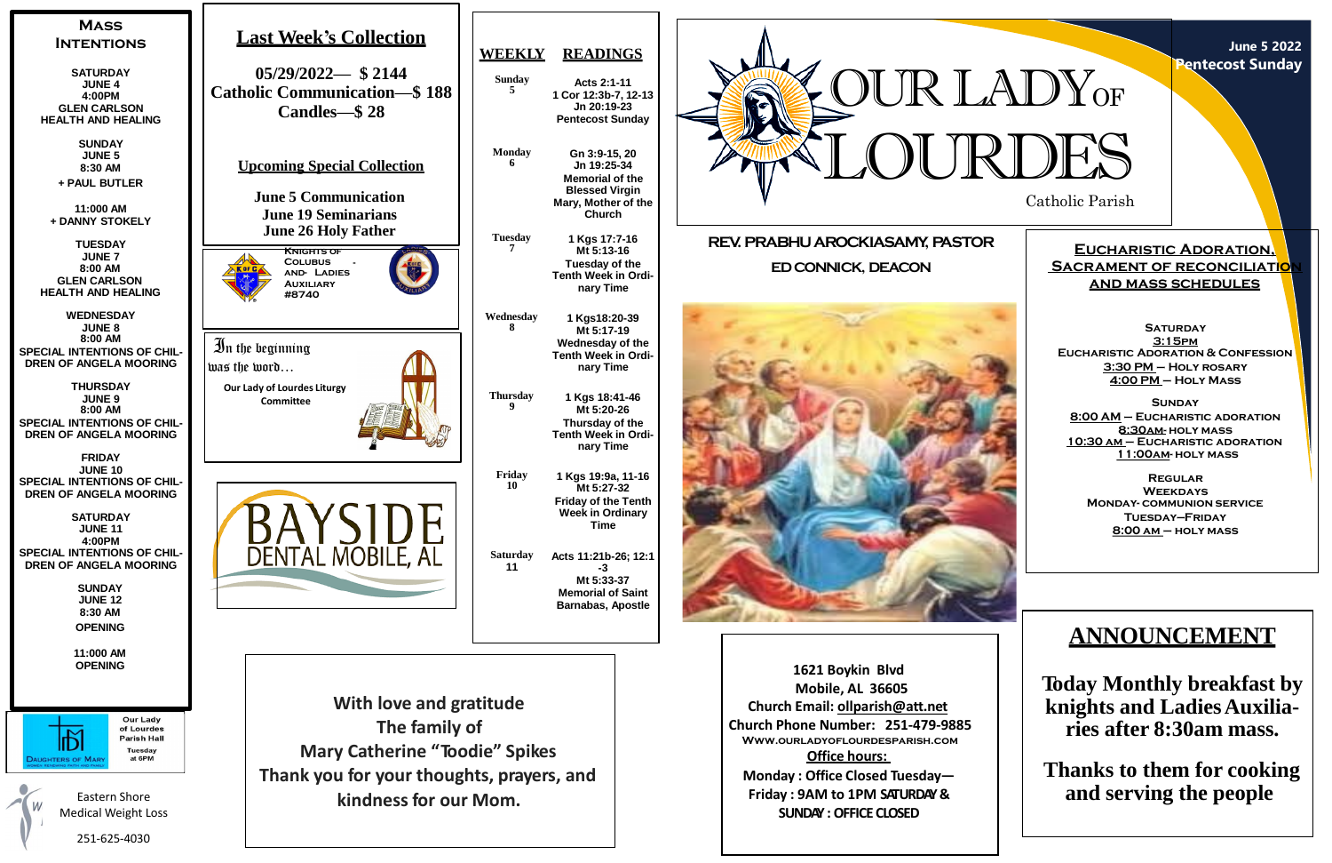Catholic Parish



**June 5 2022 Pentecost Sunday**

# **Eucharistic Adoration, SACRAMENT OF RECONCILIATION and mass schedules**

**SATURDAY 3:15pm Eucharistic Adoration & Confession 3:30 PM – Holy rosary 4:00 PM – Holy Mass**

**Sunday 8:00 AM – Eucharistic adoration 8:30am- holy mass 10:30 am – Eucharistic adoration 11:00am- holy mass**

**Regular Weekdays Monday- communion service Tuesday—Friday 8:00 am – holy mass**





**1621 Boykin Blvd Mobile, AL 36605 Church Email: [ollparish@att.net](mailto:ollparish@att.net) Church Phone Number: 251-479-9885 Www.ourladyoflourdesparish.com Office hours: Monday : Office Closed Tuesday— Friday : 9AM to 1PM SATURDAY& SUNDAY :OFFICE CLOSED**

# **ANNOUNCEMENT**

**Today Monthly breakfast by knights and LadiesAuxiliaries after 8:30am mass.**

**Thanks to them for cooking and serving the people**